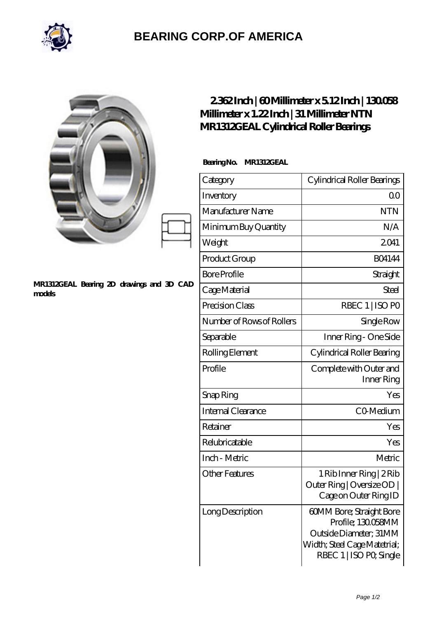

## **[BEARING CORP.OF AMERICA](https://bluemondayreview.com)**

|                                                     | 2362Inch   60Millimeter x 512Inch   130058<br>Millimeter x 1.22Inch   31 Millimeter NTN<br>MR1312GEAL Cylindrical Roller Bearings |                                                                                                                                    |
|-----------------------------------------------------|-----------------------------------------------------------------------------------------------------------------------------------|------------------------------------------------------------------------------------------------------------------------------------|
| MR1312GEAL Bearing 2D drawings and 3D CAD<br>models | MR1312GEAL<br>Bearing No.                                                                                                         |                                                                                                                                    |
|                                                     | Category                                                                                                                          | Cylindrical Roller Bearings                                                                                                        |
|                                                     | Inventory                                                                                                                         | 0 <sub>0</sub>                                                                                                                     |
|                                                     | Manufacturer Name                                                                                                                 | <b>NTN</b>                                                                                                                         |
|                                                     | Minimum Buy Quantity                                                                                                              | N/A                                                                                                                                |
|                                                     | Weight                                                                                                                            | 2041                                                                                                                               |
|                                                     | Product Group                                                                                                                     | <b>BO4144</b>                                                                                                                      |
|                                                     | <b>Bore Profile</b>                                                                                                               | Straight                                                                                                                           |
|                                                     | Cage Material                                                                                                                     | Steel                                                                                                                              |
|                                                     | Precision Class                                                                                                                   | RBEC 1   ISO PO                                                                                                                    |
|                                                     | Number of Rows of Rollers                                                                                                         | Single Row                                                                                                                         |
|                                                     | Separable                                                                                                                         | Inner Ring - One Side                                                                                                              |
|                                                     | Rolling Element                                                                                                                   | Cylindrical Roller Bearing                                                                                                         |
|                                                     | Profile                                                                                                                           | Complete with Outer and<br>Inner Ring                                                                                              |
|                                                     | Snap Ring                                                                                                                         | Yes                                                                                                                                |
|                                                     | Internal Clearance                                                                                                                | CO Medium                                                                                                                          |
|                                                     | Retainer                                                                                                                          | Yes                                                                                                                                |
|                                                     | Relubricatable                                                                                                                    | Yes                                                                                                                                |
|                                                     | Inch - Metric                                                                                                                     | Metric                                                                                                                             |
|                                                     | <b>Other Features</b>                                                                                                             | 1 Rib Inner Ring   2 Rib<br>Outer Ring   Oversize OD<br>Cage on Outer Ring ID                                                      |
|                                                     | Long Description                                                                                                                  | 60MM Bore; Straight Bore<br>Profile; 130058MM<br>Outside Diameter; 31MM<br>Width; Steel Cage Matetrial;<br>RBEC 1   ISO PO, Single |